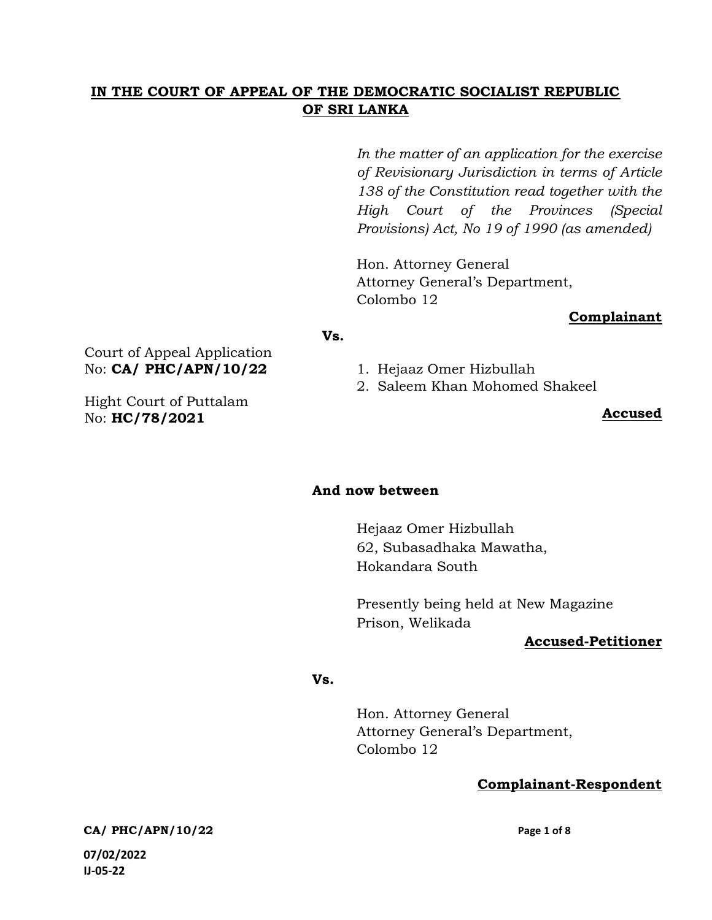# IN THE COURT OF APPEAL OF THE DEMOCRATIC SOCIALIST REPUBLIC OF SRI LANKA

In the matter of an application for the exercise of Revisionary Jurisdiction in terms of Article 138 of the Constitution read together with the High Court of the Provinces (Special Provisions) Act, No 19 of 1990 (as amended)

Hon. Attorney General Attorney General's Department, Colombo 12

### Complainant

#### Vs.

Court of Appeal Application No: CA/ PHC/APN/10/22

Hight Court of Puttalam No: HC/78/2021

1. Hejaaz Omer Hizbullah

2. Saleem Khan Mohomed Shakeel

### Accused

### And now between

Hejaaz Omer Hizbullah 62, Subasadhaka Mawatha, Hokandara South

Presently being held at New Magazine Prison, Welikada

### Accused-Petitioner

### Vs.

Hon. Attorney General Attorney General's Department, Colombo 12

## Complainant-Respondent

CA/ PHC/APN/10/22 Page 1 of 8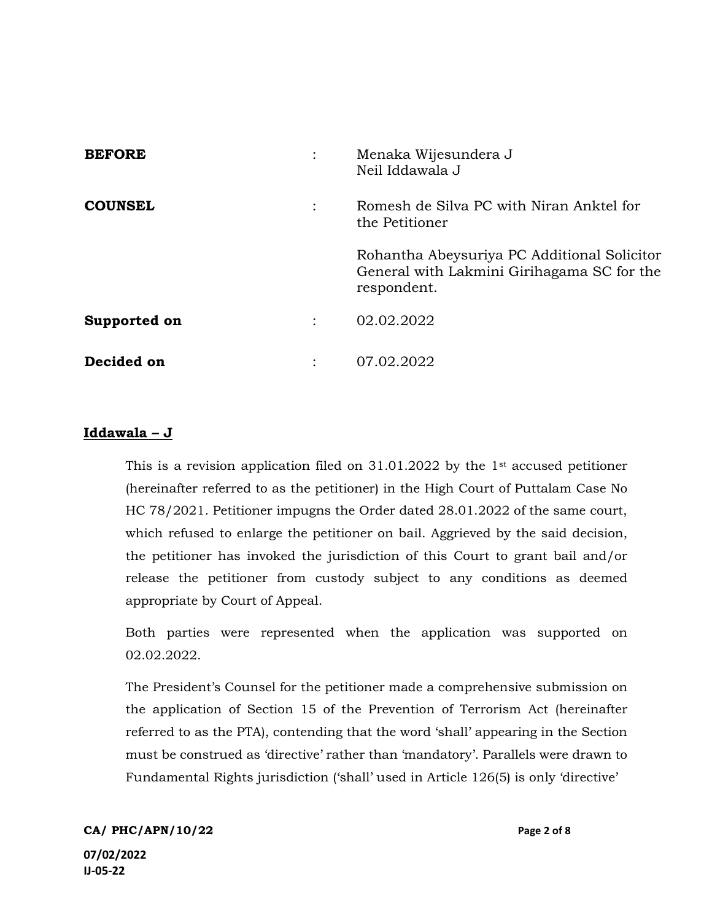| <b>BEFORE</b>  |                      | Menaka Wijesundera J<br>Neil Iddawala J                                                                  |
|----------------|----------------------|----------------------------------------------------------------------------------------------------------|
| <b>COUNSEL</b> | $\ddot{\phantom{0}}$ | Romesh de Silva PC with Niran Anktel for<br>the Petitioner                                               |
|                |                      | Rohantha Abeysuriya PC Additional Solicitor<br>General with Lakmini Girihagama SC for the<br>respondent. |
| Supported on   |                      | 02.02.2022                                                                                               |
| Decided on     |                      | 07.02.2022                                                                                               |

## Iddawala – J

This is a revision application filed on 31.01.2022 by the 1st accused petitioner (hereinafter referred to as the petitioner) in the High Court of Puttalam Case No HC 78/2021. Petitioner impugns the Order dated 28.01.2022 of the same court, which refused to enlarge the petitioner on bail. Aggrieved by the said decision, the petitioner has invoked the jurisdiction of this Court to grant bail and/or release the petitioner from custody subject to any conditions as deemed appropriate by Court of Appeal.

Both parties were represented when the application was supported on 02.02.2022.

The President's Counsel for the petitioner made a comprehensive submission on the application of Section 15 of the Prevention of Terrorism Act (hereinafter referred to as the PTA), contending that the word 'shall' appearing in the Section must be construed as 'directive' rather than 'mandatory'. Parallels were drawn to Fundamental Rights jurisdiction ('shall' used in Article 126(5) is only 'directive'

CA/ PHC/APN/10/22 Page 2 of 8 07/02/2022 IJ-05-22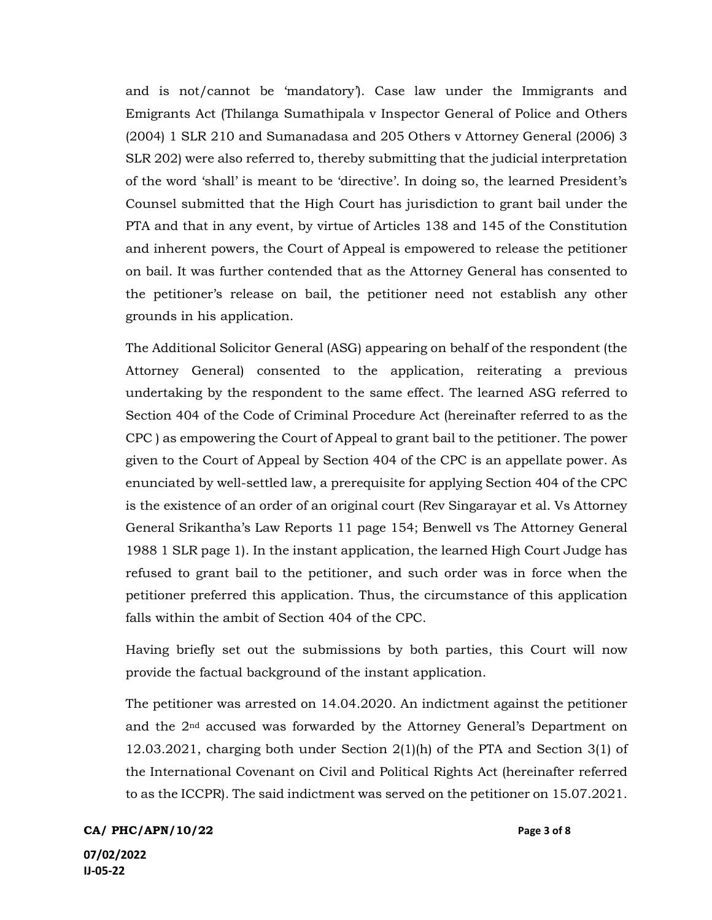and is not/cannot be 'mandatory'). Case law under the Immigrants and Emigrants Act (Thilanga Sumathipala v Inspector General of Police and Others (2004) 1 SLR 210 and Sumanadasa and 205 Others v Attorney General (2006) 3 SLR 202) were also referred to, thereby submitting that the judicial interpretation of the word 'shall' is meant to be 'directive'. In doing so, the learned President's Counsel submitted that the High Court has jurisdiction to grant bail under the PTA and that in any event, by virtue of Articles 138 and 145 of the Constitution and inherent powers, the Court of Appeal is empowered to release the petitioner on bail. It was further contended that as the Attorney General has consented to the petitioner's release on bail, the petitioner need not establish any other grounds in his application.

The Additional Solicitor General (ASG) appearing on behalf of the respondent (the Attorney General) consented to the application, reiterating a previous undertaking by the respondent to the same effect. The learned ASG referred to Section 404 of the Code of Criminal Procedure Act (hereinafter referred to as the CPC ) as empowering the Court of Appeal to grant bail to the petitioner. The power given to the Court of Appeal by Section 404 of the CPC is an appellate power. As enunciated by well-settled law, a prerequisite for applying Section 404 of the CPC is the existence of an order of an original court (Rev Singarayar et al. Vs Attorney General Srikantha's Law Reports 11 page 154; Benwell vs The Attorney General 1988 1 SLR page 1). In the instant application, the learned High Court Judge has refused to grant bail to the petitioner, and such order was in force when the petitioner preferred this application. Thus, the circumstance of this application falls within the ambit of Section 404 of the CPC.

Having briefly set out the submissions by both parties, this Court will now provide the factual background of the instant application.

The petitioner was arrested on 14.04.2020. An indictment against the petitioner and the  $2<sup>nd</sup>$  accused was forwarded by the Attorney General's Department on 12.03.2021, charging both under Section 2(1)(h) of the PTA and Section 3(1) of the International Covenant on Civil and Political Rights Act (hereinafter referred to as the ICCPR). The said indictment was served on the petitioner on 15.07.2021.

CA/ PHC/APN/10/22 Page 3 of 8 07/02/2022

IJ-05-22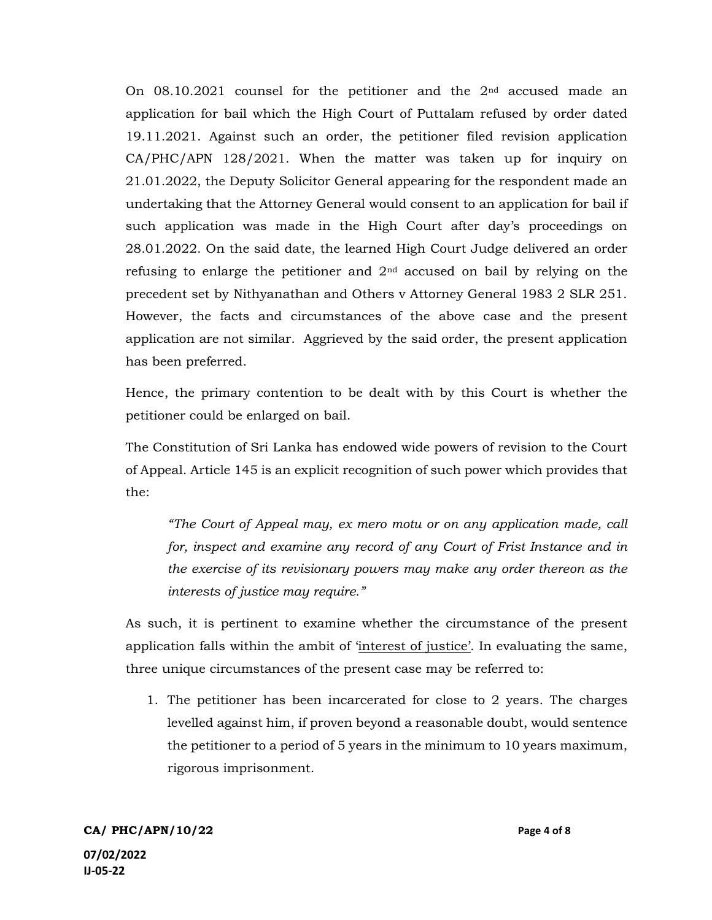On 08.10.2021 counsel for the petitioner and the 2nd accused made an application for bail which the High Court of Puttalam refused by order dated 19.11.2021. Against such an order, the petitioner filed revision application CA/PHC/APN 128/2021. When the matter was taken up for inquiry on 21.01.2022, the Deputy Solicitor General appearing for the respondent made an undertaking that the Attorney General would consent to an application for bail if such application was made in the High Court after day's proceedings on 28.01.2022. On the said date, the learned High Court Judge delivered an order refusing to enlarge the petitioner and  $2<sup>nd</sup>$  accused on bail by relying on the precedent set by Nithyanathan and Others v Attorney General 1983 2 SLR 251. However, the facts and circumstances of the above case and the present application are not similar. Aggrieved by the said order, the present application has been preferred.

Hence, the primary contention to be dealt with by this Court is whether the petitioner could be enlarged on bail.

The Constitution of Sri Lanka has endowed wide powers of revision to the Court of Appeal. Article 145 is an explicit recognition of such power which provides that the:

"The Court of Appeal may, ex mero motu or on any application made, call for, inspect and examine any record of any Court of Frist Instance and in the exercise of its revisionary powers may make any order thereon as the interests of justice may require."

As such, it is pertinent to examine whether the circumstance of the present application falls within the ambit of 'interest of justice'. In evaluating the same, three unique circumstances of the present case may be referred to:

1. The petitioner has been incarcerated for close to 2 years. The charges levelled against him, if proven beyond a reasonable doubt, would sentence the petitioner to a period of 5 years in the minimum to 10 years maximum, rigorous imprisonment.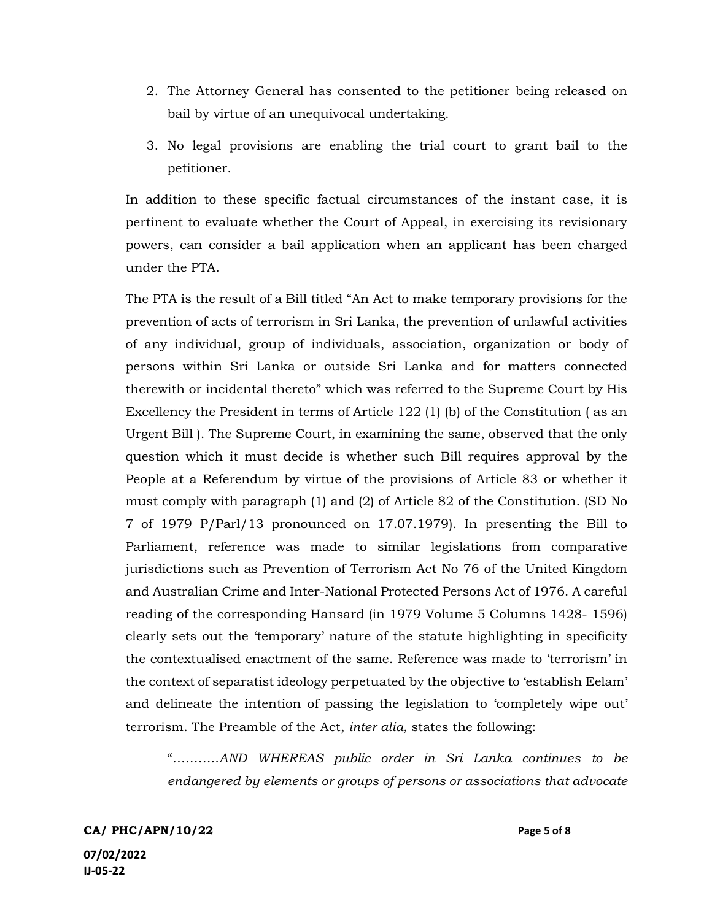- 2. The Attorney General has consented to the petitioner being released on bail by virtue of an unequivocal undertaking.
- 3. No legal provisions are enabling the trial court to grant bail to the petitioner.

In addition to these specific factual circumstances of the instant case, it is pertinent to evaluate whether the Court of Appeal, in exercising its revisionary powers, can consider a bail application when an applicant has been charged under the PTA.

The PTA is the result of a Bill titled "An Act to make temporary provisions for the prevention of acts of terrorism in Sri Lanka, the prevention of unlawful activities of any individual, group of individuals, association, organization or body of persons within Sri Lanka or outside Sri Lanka and for matters connected therewith or incidental thereto" which was referred to the Supreme Court by His Excellency the President in terms of Article 122 (1) (b) of the Constitution ( as an Urgent Bill ). The Supreme Court, in examining the same, observed that the only question which it must decide is whether such Bill requires approval by the People at a Referendum by virtue of the provisions of Article 83 or whether it must comply with paragraph (1) and (2) of Article 82 of the Constitution. (SD No 7 of 1979 P/Parl/13 pronounced on 17.07.1979). In presenting the Bill to Parliament, reference was made to similar legislations from comparative jurisdictions such as Prevention of Terrorism Act No 76 of the United Kingdom and Australian Crime and Inter-National Protected Persons Act of 1976. A careful reading of the corresponding Hansard (in 1979 Volume 5 Columns 1428- 1596) clearly sets out the 'temporary' nature of the statute highlighting in specificity the contextualised enactment of the same. Reference was made to 'terrorism' in the context of separatist ideology perpetuated by the objective to 'establish Eelam' and delineate the intention of passing the legislation to 'completely wipe out' terrorism. The Preamble of the Act, inter alia, states the following:

"………..AND WHEREAS public order in Sri Lanka continues to be endangered by elements or groups of persons or associations that advocate

CA/ PHC/APN/10/22 Page 5 of 8 07/02/2022 IJ-05-22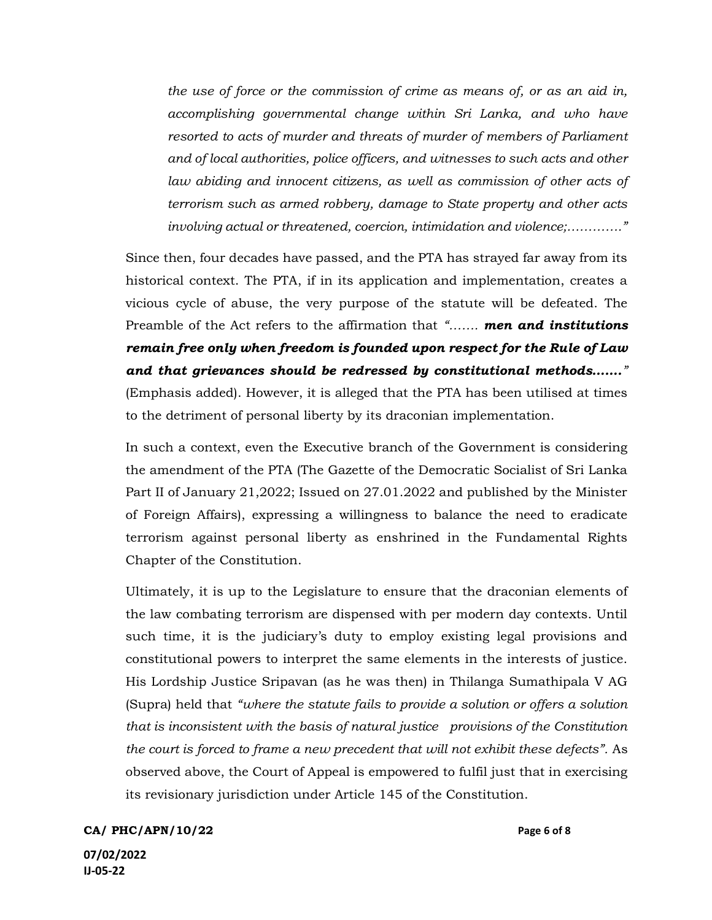the use of force or the commission of crime as means of, or as an aid in, accomplishing governmental change within Sri Lanka, and who have resorted to acts of murder and threats of murder of members of Parliament and of local authorities, police officers, and witnesses to such acts and other law abiding and innocent citizens, as well as commission of other acts of terrorism such as armed robbery, damage to State property and other acts involving actual or threatened, coercion, intimidation and violence;…………."

Since then, four decades have passed, and the PTA has strayed far away from its historical context. The PTA, if in its application and implementation, creates a vicious cycle of abuse, the very purpose of the statute will be defeated. The Preamble of the Act refers to the affirmation that "....... men and institutions remain free only when freedom is founded upon respect for the Rule of Law and that grievances should be redressed by constitutional methods……." (Emphasis added). However, it is alleged that the PTA has been utilised at times to the detriment of personal liberty by its draconian implementation.

In such a context, even the Executive branch of the Government is considering the amendment of the PTA (The Gazette of the Democratic Socialist of Sri Lanka Part II of January 21,2022; Issued on 27.01.2022 and published by the Minister of Foreign Affairs), expressing a willingness to balance the need to eradicate terrorism against personal liberty as enshrined in the Fundamental Rights Chapter of the Constitution.

Ultimately, it is up to the Legislature to ensure that the draconian elements of the law combating terrorism are dispensed with per modern day contexts. Until such time, it is the judiciary's duty to employ existing legal provisions and constitutional powers to interpret the same elements in the interests of justice. His Lordship Justice Sripavan (as he was then) in Thilanga Sumathipala V AG (Supra) held that "where the statute fails to provide a solution or offers a solution that is inconsistent with the basis of natural justice provisions of the Constitution the court is forced to frame a new precedent that will not exhibit these defects". As observed above, the Court of Appeal is empowered to fulfil just that in exercising its revisionary jurisdiction under Article 145 of the Constitution.

CA/ PHC/APN/10/22 Page 6 of 8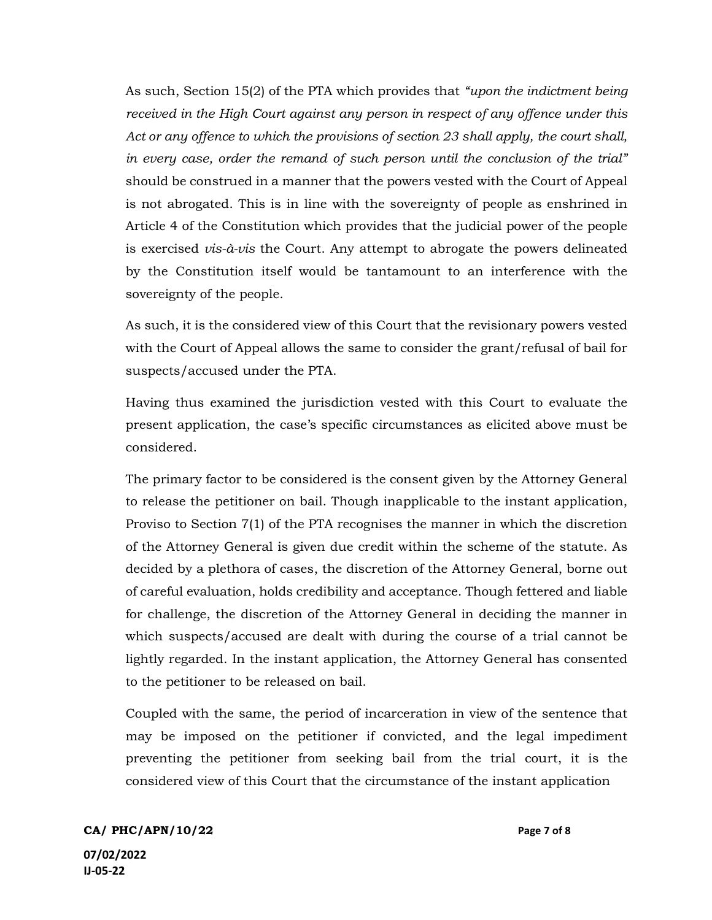As such, Section 15(2) of the PTA which provides that "upon the indictment being received in the High Court against any person in respect of any offence under this Act or any offence to which the provisions of section 23 shall apply, the court shall, in every case, order the remand of such person until the conclusion of the trial" should be construed in a manner that the powers vested with the Court of Appeal is not abrogated. This is in line with the sovereignty of people as enshrined in Article 4 of the Constitution which provides that the judicial power of the people is exercised vis-à-vis the Court. Any attempt to abrogate the powers delineated by the Constitution itself would be tantamount to an interference with the sovereignty of the people.

As such, it is the considered view of this Court that the revisionary powers vested with the Court of Appeal allows the same to consider the grant/refusal of bail for suspects/accused under the PTA.

Having thus examined the jurisdiction vested with this Court to evaluate the present application, the case's specific circumstances as elicited above must be considered.

The primary factor to be considered is the consent given by the Attorney General to release the petitioner on bail. Though inapplicable to the instant application, Proviso to Section 7(1) of the PTA recognises the manner in which the discretion of the Attorney General is given due credit within the scheme of the statute. As decided by a plethora of cases, the discretion of the Attorney General, borne out of careful evaluation, holds credibility and acceptance. Though fettered and liable for challenge, the discretion of the Attorney General in deciding the manner in which suspects/accused are dealt with during the course of a trial cannot be lightly regarded. In the instant application, the Attorney General has consented to the petitioner to be released on bail.

Coupled with the same, the period of incarceration in view of the sentence that may be imposed on the petitioner if convicted, and the legal impediment preventing the petitioner from seeking bail from the trial court, it is the considered view of this Court that the circumstance of the instant application